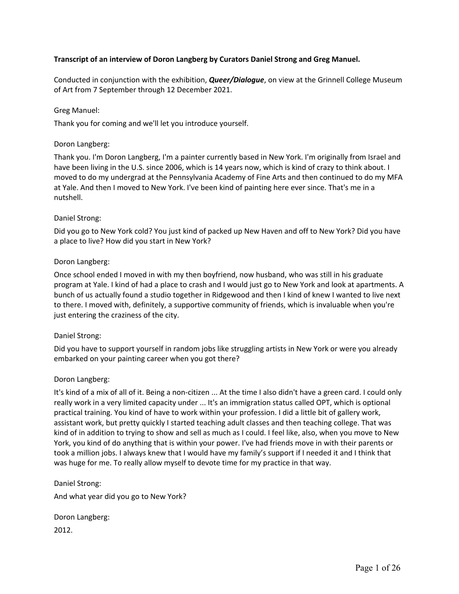## **Transcript of an interview of Doron Langberg by Curators Daniel Strong and Greg Manuel.**

Conducted in conjunction with the exhibition, *Queer/Dialogue*, on view at the Grinnell College Museum of Art from 7 September through 12 December 2021.

## Greg Manuel:

Thank you for coming and we'll let you introduce yourself.

## Doron Langberg:

Thank you. I'm Doron Langberg, I'm a painter currently based in New York. I'm originally from Israel and have been living in the U.S. since 2006, which is 14 years now, which is kind of crazy to think about. I moved to do my undergrad at the Pennsylvania Academy of Fine Arts and then continued to do my MFA at Yale. And then I moved to New York. I've been kind of painting here ever since. That's me in a nutshell.

# Daniel Strong:

Did you go to New York cold? You just kind of packed up New Haven and off to New York? Did you have a place to live? How did you start in New York?

# Doron Langberg:

Once school ended I moved in with my then boyfriend, now husband, who was still in his graduate program at Yale. I kind of had a place to crash and I would just go to New York and look at apartments. A bunch of us actually found a studio together in Ridgewood and then I kind of knew I wanted to live next to there. I moved with, definitely, a supportive community of friends, which is invaluable when you're just entering the craziness of the city.

## Daniel Strong:

Did you have to support yourself in random jobs like struggling artists in New York or were you already embarked on your painting career when you got there?

## Doron Langberg:

It's kind of a mix of all of it. Being a non-citizen ... At the time I also didn't have a green card. I could only really work in a very limited capacity under ... It's an immigration status called OPT, which is optional practical training. You kind of have to work within your profession. I did a little bit of gallery work, assistant work, but pretty quickly I started teaching adult classes and then teaching college. That was kind of in addition to trying to show and sell as much as I could. I feel like, also, when you move to New York, you kind of do anything that is within your power. I've had friends move in with their parents or took a million jobs. I always knew that I would have my family's support if I needed it and I think that was huge for me. To really allow myself to devote time for my practice in that way.

## Daniel Strong:

And what year did you go to New York?

Doron Langberg: 2012.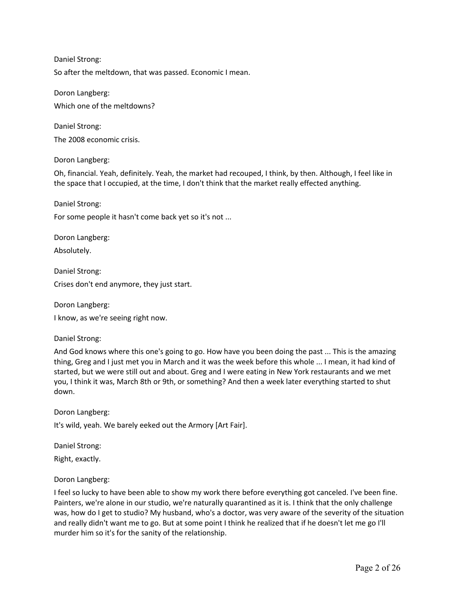Daniel Strong: So after the meltdown, that was passed. Economic I mean.

Doron Langberg: Which one of the meltdowns?

Daniel Strong: The 2008 economic crisis.

Doron Langberg:

Oh, financial. Yeah, definitely. Yeah, the market had recouped, I think, by then. Although, I feel like in the space that I occupied, at the time, I don't think that the market really effected anything.

Daniel Strong:

For some people it hasn't come back yet so it's not ...

Doron Langberg:

Absolutely.

Daniel Strong: Crises don't end anymore, they just start.

Doron Langberg:

I know, as we're seeing right now.

Daniel Strong:

And God knows where this one's going to go. How have you been doing the past ... This is the amazing thing, Greg and I just met you in March and it was the week before this whole ... I mean, it had kind of started, but we were still out and about. Greg and I were eating in New York restaurants and we met you, I think it was, March 8th or 9th, or something? And then a week later everything started to shut down.

Doron Langberg:

It's wild, yeah. We barely eeked out the Armory [Art Fair].

Daniel Strong:

Right, exactly.

Doron Langberg:

I feel so lucky to have been able to show my work there before everything got canceled. I've been fine. Painters, we're alone in our studio, we're naturally quarantined as it is. I think that the only challenge was, how do I get to studio? My husband, who's a doctor, was very aware of the severity of the situation and really didn't want me to go. But at some point I think he realized that if he doesn't let me go I'll murder him so it's for the sanity of the relationship.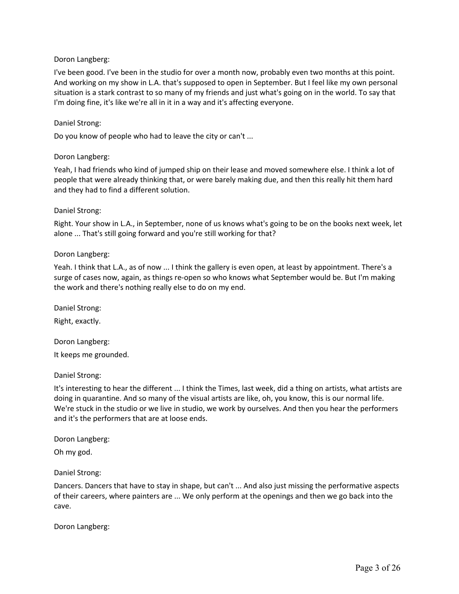I've been good. I've been in the studio for over a month now, probably even two months at this point. And working on my show in L.A. that's supposed to open in September. But I feel like my own personal situation is a stark contrast to so many of my friends and just what's going on in the world. To say that I'm doing fine, it's like we're all in it in a way and it's affecting everyone.

### Daniel Strong:

Do you know of people who had to leave the city or can't ...

### Doron Langberg:

Yeah, I had friends who kind of jumped ship on their lease and moved somewhere else. I think a lot of people that were already thinking that, or were barely making due, and then this really hit them hard and they had to find a different solution.

### Daniel Strong:

Right. Your show in L.A., in September, none of us knows what's going to be on the books next week, let alone ... That's still going forward and you're still working for that?

### Doron Langberg:

Yeah. I think that L.A., as of now ... I think the gallery is even open, at least by appointment. There's a surge of cases now, again, as things re-open so who knows what September would be. But I'm making the work and there's nothing really else to do on my end.

Daniel Strong: Right, exactly.

Doron Langberg:

It keeps me grounded.

## Daniel Strong:

It's interesting to hear the different ... I think the Times, last week, did a thing on artists, what artists are doing in quarantine. And so many of the visual artists are like, oh, you know, this is our normal life. We're stuck in the studio or we live in studio, we work by ourselves. And then you hear the performers and it's the performers that are at loose ends.

Doron Langberg:

Oh my god.

## Daniel Strong:

Dancers. Dancers that have to stay in shape, but can't ... And also just missing the performative aspects of their careers, where painters are ... We only perform at the openings and then we go back into the cave.

Doron Langberg: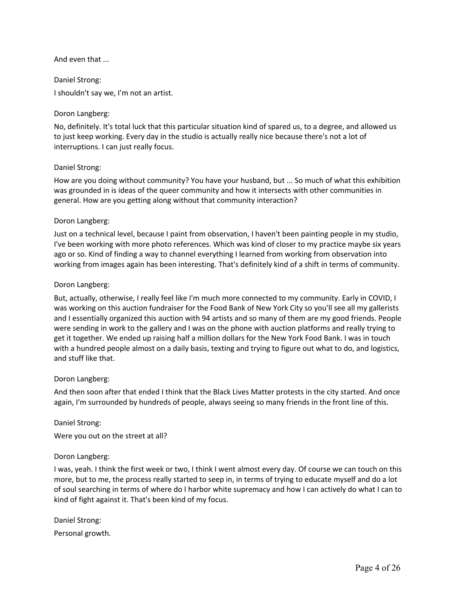## And even that ...

Daniel Strong: I shouldn't say we, I'm not an artist.

### Doron Langberg:

No, definitely. It's total luck that this particular situation kind of spared us, to a degree, and allowed us to just keep working. Every day in the studio is actually really nice because there's not a lot of interruptions. I can just really focus.

### Daniel Strong:

How are you doing without community? You have your husband, but ... So much of what this exhibition was grounded in is ideas of the queer community and how it intersects with other communities in general. How are you getting along without that community interaction?

### Doron Langberg:

Just on a technical level, because I paint from observation, I haven't been painting people in my studio, I've been working with more photo references. Which was kind of closer to my practice maybe six years ago or so. Kind of finding a way to channel everything I learned from working from observation into working from images again has been interesting. That's definitely kind of a shift in terms of community.

### Doron Langberg:

But, actually, otherwise, I really feel like I'm much more connected to my community. Early in COVID, I was working on this auction fundraiser for the Food Bank of New York City so you'll see all my gallerists and I essentially organized this auction with 94 artists and so many of them are my good friends. People were sending in work to the gallery and I was on the phone with auction platforms and really trying to get it together. We ended up raising half a million dollars for the New York Food Bank. I was in touch with a hundred people almost on a daily basis, texting and trying to figure out what to do, and logistics, and stuff like that.

#### Doron Langberg:

And then soon after that ended I think that the Black Lives Matter protests in the city started. And once again, I'm surrounded by hundreds of people, always seeing so many friends in the front line of this.

Daniel Strong:

Were you out on the street at all?

#### Doron Langberg:

I was, yeah. I think the first week or two, I think I went almost every day. Of course we can touch on this more, but to me, the process really started to seep in, in terms of trying to educate myself and do a lot of soul searching in terms of where do I harbor white supremacy and how I can actively do what I can to kind of fight against it. That's been kind of my focus.

| Daniel Strong:   |
|------------------|
| Personal growth. |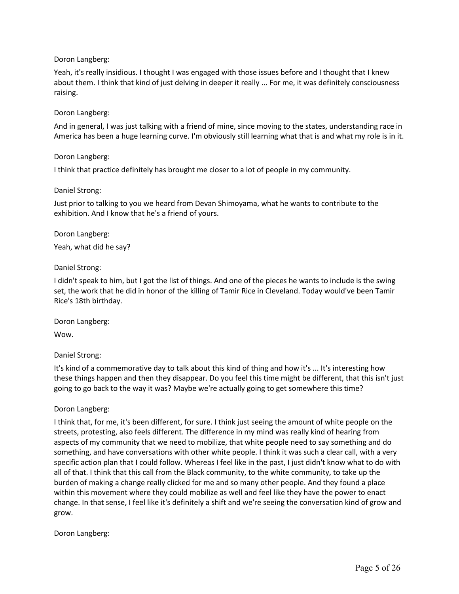Yeah, it's really insidious. I thought I was engaged with those issues before and I thought that I knew about them. I think that kind of just delving in deeper it really ... For me, it was definitely consciousness raising.

## Doron Langberg:

And in general, I was just talking with a friend of mine, since moving to the states, understanding race in America has been a huge learning curve. I'm obviously still learning what that is and what my role is in it.

## Doron Langberg:

I think that practice definitely has brought me closer to a lot of people in my community.

## Daniel Strong:

Just prior to talking to you we heard from Devan Shimoyama, what he wants to contribute to the exhibition. And I know that he's a friend of yours.

# Doron Langberg:

Yeah, what did he say?

# Daniel Strong:

I didn't speak to him, but I got the list of things. And one of the pieces he wants to include is the swing set, the work that he did in honor of the killing of Tamir Rice in Cleveland. Today would've been Tamir Rice's 18th birthday.

Doron Langberg:

Wow.

Daniel Strong:

It's kind of a commemorative day to talk about this kind of thing and how it's ... It's interesting how these things happen and then they disappear. Do you feel this time might be different, that this isn't just going to go back to the way it was? Maybe we're actually going to get somewhere this time?

## Doron Langberg:

I think that, for me, it's been different, for sure. I think just seeing the amount of white people on the streets, protesting, also feels different. The difference in my mind was really kind of hearing from aspects of my community that we need to mobilize, that white people need to say something and do something, and have conversations with other white people. I think it was such a clear call, with a very specific action plan that I could follow. Whereas I feel like in the past, I just didn't know what to do with all of that. I think that this call from the Black community, to the white community, to take up the burden of making a change really clicked for me and so many other people. And they found a place within this movement where they could mobilize as well and feel like they have the power to enact change. In that sense, I feel like it's definitely a shift and we're seeing the conversation kind of grow and grow.

Doron Langberg: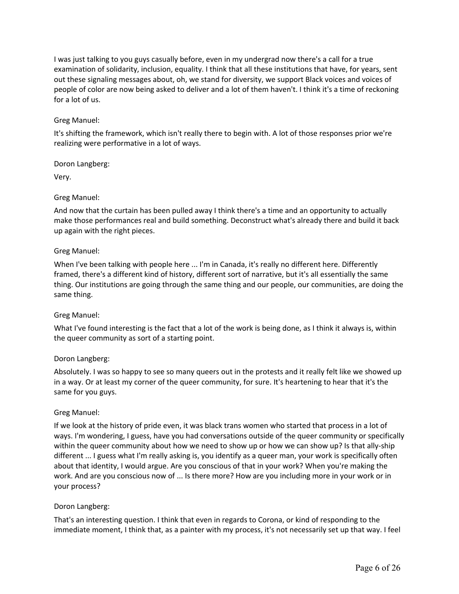I was just talking to you guys casually before, even in my undergrad now there's a call for a true examination of solidarity, inclusion, equality. I think that all these institutions that have, for years, sent out these signaling messages about, oh, we stand for diversity, we support Black voices and voices of people of color are now being asked to deliver and a lot of them haven't. I think it's a time of reckoning for a lot of us.

# Greg Manuel:

It's shifting the framework, which isn't really there to begin with. A lot of those responses prior we're realizing were performative in a lot of ways.

Doron Langberg:

Very.

# Greg Manuel:

And now that the curtain has been pulled away I think there's a time and an opportunity to actually make those performances real and build something. Deconstruct what's already there and build it back up again with the right pieces.

# Greg Manuel:

When I've been talking with people here ... I'm in Canada, it's really no different here. Differently framed, there's a different kind of history, different sort of narrative, but it's all essentially the same thing. Our institutions are going through the same thing and our people, our communities, are doing the same thing.

## Greg Manuel:

What I've found interesting is the fact that a lot of the work is being done, as I think it always is, within the queer community as sort of a starting point.

## Doron Langberg:

Absolutely. I was so happy to see so many queers out in the protests and it really felt like we showed up in a way. Or at least my corner of the queer community, for sure. It's heartening to hear that it's the same for you guys.

## Greg Manuel:

If we look at the history of pride even, it was black trans women who started that process in a lot of ways. I'm wondering, I guess, have you had conversations outside of the queer community or specifically within the queer community about how we need to show up or how we can show up? Is that ally-ship different ... I guess what I'm really asking is, you identify as a queer man, your work is specifically often about that identity, I would argue. Are you conscious of that in your work? When you're making the work. And are you conscious now of ... Is there more? How are you including more in your work or in your process?

## Doron Langberg:

That's an interesting question. I think that even in regards to Corona, or kind of responding to the immediate moment, I think that, as a painter with my process, it's not necessarily set up that way. I feel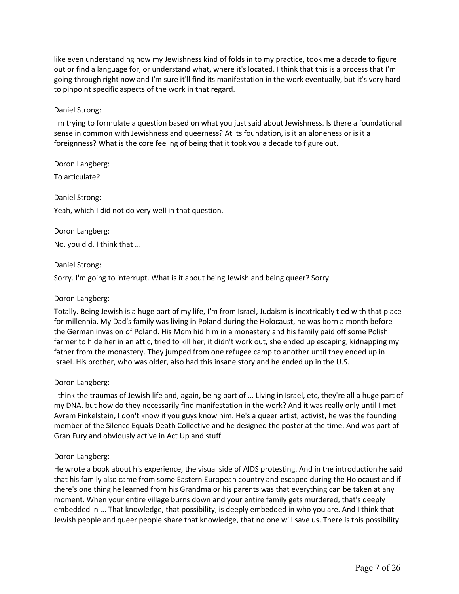like even understanding how my Jewishness kind of folds in to my practice, took me a decade to figure out or find a language for, or understand what, where it's located. I think that this is a process that I'm going through right now and I'm sure it'll find its manifestation in the work eventually, but it's very hard to pinpoint specific aspects of the work in that regard.

## Daniel Strong:

I'm trying to formulate a question based on what you just said about Jewishness. Is there a foundational sense in common with Jewishness and queerness? At its foundation, is it an aloneness or is it a foreignness? What is the core feeling of being that it took you a decade to figure out.

Doron Langberg:

To articulate?

Daniel Strong: Yeah, which I did not do very well in that question.

Doron Langberg: No, you did. I think that ...

### Daniel Strong:

Sorry. I'm going to interrupt. What is it about being Jewish and being queer? Sorry.

## Doron Langberg:

Totally. Being Jewish is a huge part of my life, I'm from Israel, Judaism is inextricably tied with that place for millennia. My Dad's family was living in Poland during the Holocaust, he was born a month before the German invasion of Poland. His Mom hid him in a monastery and his family paid off some Polish farmer to hide her in an attic, tried to kill her, it didn't work out, she ended up escaping, kidnapping my father from the monastery. They jumped from one refugee camp to another until they ended up in Israel. His brother, who was older, also had this insane story and he ended up in the U.S.

## Doron Langberg:

I think the traumas of Jewish life and, again, being part of ... Living in Israel, etc, they're all a huge part of my DNA, but how do they necessarily find manifestation in the work? And it was really only until I met Avram Finkelstein, I don't know if you guys know him. He's a queer artist, activist, he was the founding member of the Silence Equals Death Collective and he designed the poster at the time. And was part of Gran Fury and obviously active in Act Up and stuff.

## Doron Langberg:

He wrote a book about his experience, the visual side of AIDS protesting. And in the introduction he said that his family also came from some Eastern European country and escaped during the Holocaust and if there's one thing he learned from his Grandma or his parents was that everything can be taken at any moment. When your entire village burns down and your entire family gets murdered, that's deeply embedded in ... That knowledge, that possibility, is deeply embedded in who you are. And I think that Jewish people and queer people share that knowledge, that no one will save us. There is this possibility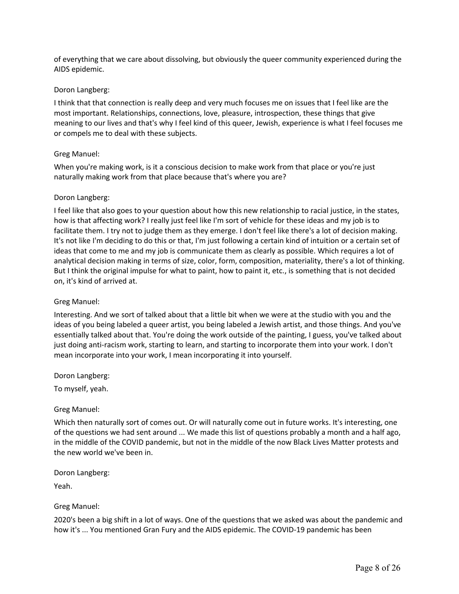of everything that we care about dissolving, but obviously the queer community experienced during the AIDS epidemic.

## Doron Langberg:

I think that that connection is really deep and very much focuses me on issues that I feel like are the most important. Relationships, connections, love, pleasure, introspection, these things that give meaning to our lives and that's why I feel kind of this queer, Jewish, experience is what I feel focuses me or compels me to deal with these subjects.

### Greg Manuel:

When you're making work, is it a conscious decision to make work from that place or you're just naturally making work from that place because that's where you are?

### Doron Langberg:

I feel like that also goes to your question about how this new relationship to racial justice, in the states, how is that affecting work? I really just feel like I'm sort of vehicle for these ideas and my job is to facilitate them. I try not to judge them as they emerge. I don't feel like there's a lot of decision making. It's not like I'm deciding to do this or that, I'm just following a certain kind of intuition or a certain set of ideas that come to me and my job is communicate them as clearly as possible. Which requires a lot of analytical decision making in terms of size, color, form, composition, materiality, there's a lot of thinking. But I think the original impulse for what to paint, how to paint it, etc., is something that is not decided on, it's kind of arrived at.

### Greg Manuel:

Interesting. And we sort of talked about that a little bit when we were at the studio with you and the ideas of you being labeled a queer artist, you being labeled a Jewish artist, and those things. And you've essentially talked about that. You're doing the work outside of the painting, I guess, you've talked about just doing anti-racism work, starting to learn, and starting to incorporate them into your work. I don't mean incorporate into your work, I mean incorporating it into yourself.

Doron Langberg:

To myself, yeah.

## Greg Manuel:

Which then naturally sort of comes out. Or will naturally come out in future works. It's interesting, one of the questions we had sent around ... We made this list of questions probably a month and a half ago, in the middle of the COVID pandemic, but not in the middle of the now Black Lives Matter protests and the new world we've been in.

Doron Langberg:

Yeah.

## Greg Manuel:

2020's been a big shift in a lot of ways. One of the questions that we asked was about the pandemic and how it's ... You mentioned Gran Fury and the AIDS epidemic. The COVID-19 pandemic has been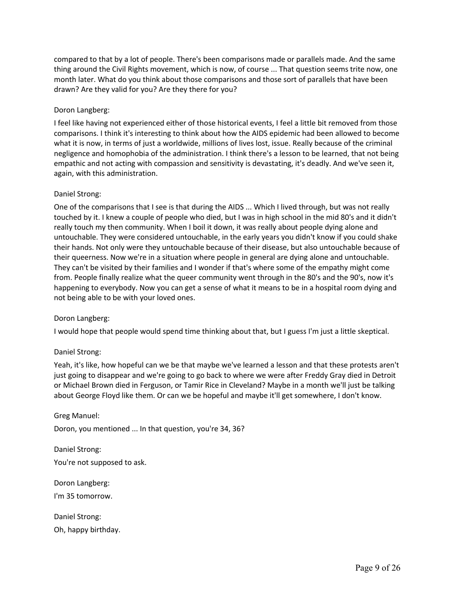compared to that by a lot of people. There's been comparisons made or parallels made. And the same thing around the Civil Rights movement, which is now, of course ... That question seems trite now, one month later. What do you think about those comparisons and those sort of parallels that have been drawn? Are they valid for you? Are they there for you?

# Doron Langberg:

I feel like having not experienced either of those historical events, I feel a little bit removed from those comparisons. I think it's interesting to think about how the AIDS epidemic had been allowed to become what it is now, in terms of just a worldwide, millions of lives lost, issue. Really because of the criminal negligence and homophobia of the administration. I think there's a lesson to be learned, that not being empathic and not acting with compassion and sensitivity is devastating, it's deadly. And we've seen it, again, with this administration.

## Daniel Strong:

One of the comparisons that I see is that during the AIDS ... Which I lived through, but was not really touched by it. I knew a couple of people who died, but I was in high school in the mid 80's and it didn't really touch my then community. When I boil it down, it was really about people dying alone and untouchable. They were considered untouchable, in the early years you didn't know if you could shake their hands. Not only were they untouchable because of their disease, but also untouchable because of their queerness. Now we're in a situation where people in general are dying alone and untouchable. They can't be visited by their families and I wonder if that's where some of the empathy might come from. People finally realize what the queer community went through in the 80's and the 90's, now it's happening to everybody. Now you can get a sense of what it means to be in a hospital room dying and not being able to be with your loved ones.

## Doron Langberg:

I would hope that people would spend time thinking about that, but I guess I'm just a little skeptical.

## Daniel Strong:

Yeah, it's like, how hopeful can we be that maybe we've learned a lesson and that these protests aren't just going to disappear and we're going to go back to where we were after Freddy Gray died in Detroit or Michael Brown died in Ferguson, or Tamir Rice in Cleveland? Maybe in a month we'll just be talking about George Floyd like them. Or can we be hopeful and maybe it'll get somewhere, I don't know.

Greg Manuel: Doron, you mentioned ... In that question, you're 34, 36?

Daniel Strong: You're not supposed to ask.

Doron Langberg:

I'm 35 tomorrow.

Daniel Strong: Oh, happy birthday.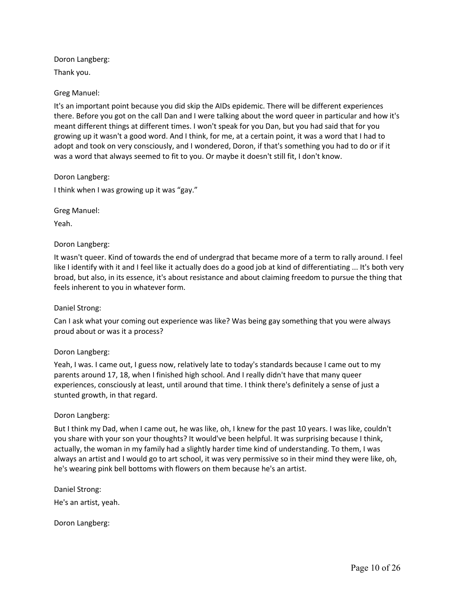Doron Langberg: Thank you.

Greg Manuel:

It's an important point because you did skip the AIDs epidemic. There will be different experiences there. Before you got on the call Dan and I were talking about the word queer in particular and how it's meant different things at different times. I won't speak for you Dan, but you had said that for you growing up it wasn't a good word. And I think, for me, at a certain point, it was a word that I had to adopt and took on very consciously, and I wondered, Doron, if that's something you had to do or if it was a word that always seemed to fit to you. Or maybe it doesn't still fit, I don't know.

Doron Langberg: I think when I was growing up it was "gay."

Greg Manuel:

Yeah.

## Doron Langberg:

It wasn't queer. Kind of towards the end of undergrad that became more of a term to rally around. I feel like I identify with it and I feel like it actually does do a good job at kind of differentiating ... It's both very broad, but also, in its essence, it's about resistance and about claiming freedom to pursue the thing that feels inherent to you in whatever form.

## Daniel Strong:

Can I ask what your coming out experience was like? Was being gay something that you were always proud about or was it a process?

## Doron Langberg:

Yeah, I was. I came out, I guess now, relatively late to today's standards because I came out to my parents around 17, 18, when I finished high school. And I really didn't have that many queer experiences, consciously at least, until around that time. I think there's definitely a sense of just a stunted growth, in that regard.

## Doron Langberg:

But I think my Dad, when I came out, he was like, oh, I knew for the past 10 years. I was like, couldn't you share with your son your thoughts? It would've been helpful. It was surprising because I think, actually, the woman in my family had a slightly harder time kind of understanding. To them, I was always an artist and I would go to art school, it was very permissive so in their mind they were like, oh, he's wearing pink bell bottoms with flowers on them because he's an artist.

Daniel Strong: He's an artist, yeah.

Doron Langberg: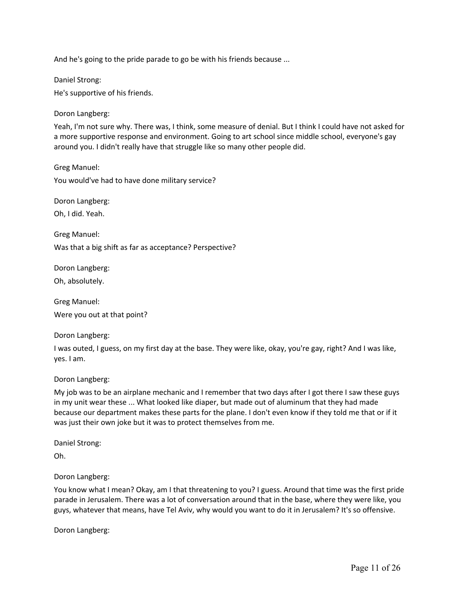And he's going to the pride parade to go be with his friends because ...

Daniel Strong:

He's supportive of his friends.

Doron Langberg:

Yeah, I'm not sure why. There was, I think, some measure of denial. But I think I could have not asked for a more supportive response and environment. Going to art school since middle school, everyone's gay around you. I didn't really have that struggle like so many other people did.

Greg Manuel: You would've had to have done military service?

Doron Langberg:

Oh, I did. Yeah.

Greg Manuel:

Was that a big shift as far as acceptance? Perspective?

Doron Langberg:

Oh, absolutely.

Greg Manuel: Were you out at that point?

Doron Langberg:

I was outed, I guess, on my first day at the base. They were like, okay, you're gay, right? And I was like, yes. I am.

Doron Langberg:

My job was to be an airplane mechanic and I remember that two days after I got there I saw these guys in my unit wear these ... What looked like diaper, but made out of aluminum that they had made because our department makes these parts for the plane. I don't even know if they told me that or if it was just their own joke but it was to protect themselves from me.

Daniel Strong:

Oh.

Doron Langberg:

You know what I mean? Okay, am I that threatening to you? I guess. Around that time was the first pride parade in Jerusalem. There was a lot of conversation around that in the base, where they were like, you guys, whatever that means, have Tel Aviv, why would you want to do it in Jerusalem? It's so offensive.

Doron Langberg: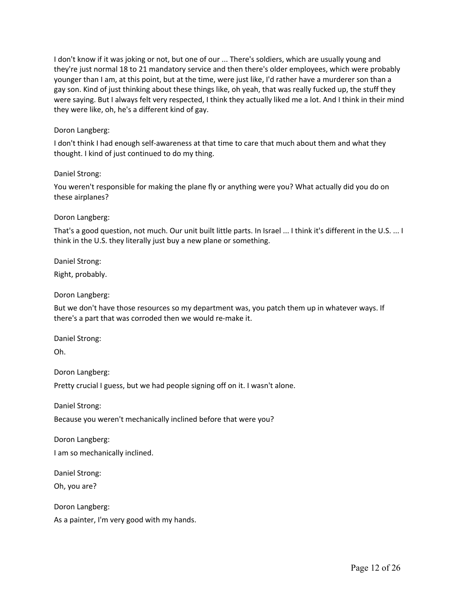I don't know if it was joking or not, but one of our ... There's soldiers, which are usually young and they're just normal 18 to 21 mandatory service and then there's older employees, which were probably younger than I am, at this point, but at the time, were just like, I'd rather have a murderer son than a gay son. Kind of just thinking about these things like, oh yeah, that was really fucked up, the stuff they were saying. But I always felt very respected, I think they actually liked me a lot. And I think in their mind they were like, oh, he's a different kind of gay.

## Doron Langberg:

I don't think I had enough self-awareness at that time to care that much about them and what they thought. I kind of just continued to do my thing.

## Daniel Strong:

You weren't responsible for making the plane fly or anything were you? What actually did you do on these airplanes?

## Doron Langberg:

That's a good question, not much. Our unit built little parts. In Israel ... I think it's different in the U.S. ... I think in the U.S. they literally just buy a new plane or something.

Daniel Strong:

Right, probably.

Doron Langberg:

But we don't have those resources so my department was, you patch them up in whatever ways. If there's a part that was corroded then we would re-make it.

Daniel Strong:

Oh.

Doron Langberg:

Pretty crucial I guess, but we had people signing off on it. I wasn't alone.

Daniel Strong:

Because you weren't mechanically inclined before that were you?

Doron Langberg:

I am so mechanically inclined.

Daniel Strong:

Oh, you are?

Doron Langberg:

As a painter, I'm very good with my hands.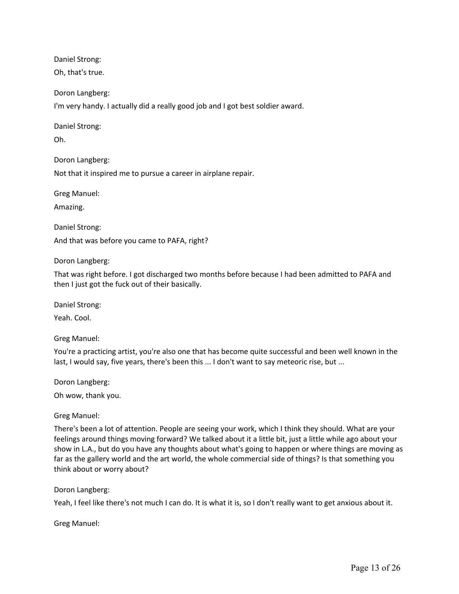Daniel Strong: Oh, that's true.

Doron Langberg:

I'm very handy. I actually did a really good job and I got best soldier award.

Daniel Strong:

Oh.

Doron Langberg:

Not that it inspired me to pursue a career in airplane repair.

Greg Manuel:

Amazing.

Daniel Strong: And that was before you came to PAFA, right?

Doron Langberg:

That was right before. I got discharged two months before because I had been admitted to PAFA and then I just got the fuck out of their basically.

Daniel Strong:

Yeah. Cool.

Greg Manuel:

You're a practicing artist, you're also one that has become quite successful and been well known in the last, I would say, five years, there's been this ... I don't want to say meteoric rise, but ...

Doron Langberg:

Oh wow, thank you.

Greg Manuel:

There's been a lot of attention. People are seeing your work, which I think they should. What are your feelings around things moving forward? We talked about it a little bit, just a little while ago about your show in L.A., but do you have any thoughts about what's going to happen or where things are moving as far as the gallery world and the art world, the whole commercial side of things? Is that something you think about or worry about?

Doron Langberg:

Yeah, I feel like there's not much I can do. It is what it is, so I don't really want to get anxious about it.

Greg Manuel: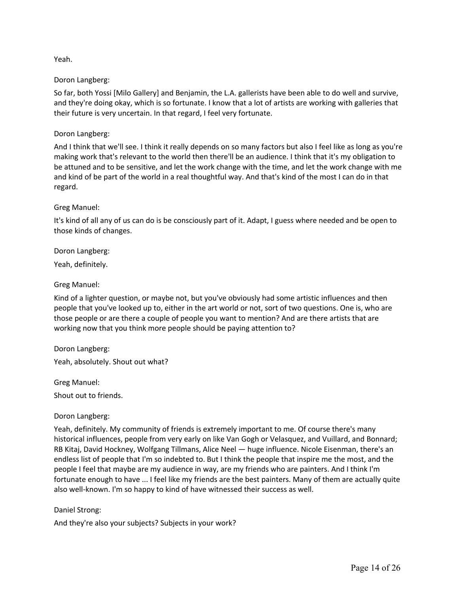# Yeah.

## Doron Langberg:

So far, both Yossi [Milo Gallery] and Benjamin, the L.A. gallerists have been able to do well and survive, and they're doing okay, which is so fortunate. I know that a lot of artists are working with galleries that their future is very uncertain. In that regard, I feel very fortunate.

# Doron Langberg:

And I think that we'll see. I think it really depends on so many factors but also I feel like as long as you're making work that's relevant to the world then there'll be an audience. I think that it's my obligation to be attuned and to be sensitive, and let the work change with the time, and let the work change with me and kind of be part of the world in a real thoughtful way. And that's kind of the most I can do in that regard.

## Greg Manuel:

It's kind of all any of us can do is be consciously part of it. Adapt, I guess where needed and be open to those kinds of changes.

Doron Langberg:

Yeah, definitely.

# Greg Manuel:

Kind of a lighter question, or maybe not, but you've obviously had some artistic influences and then people that you've looked up to, either in the art world or not, sort of two questions. One is, who are those people or are there a couple of people you want to mention? And are there artists that are working now that you think more people should be paying attention to?

Doron Langberg: Yeah, absolutely. Shout out what?

Greg Manuel:

Shout out to friends.

Doron Langberg:

Yeah, definitely. My community of friends is extremely important to me. Of course there's many historical influences, people from very early on like Van Gogh or Velasquez, and Vuillard, and Bonnard; RB Kitaj, David Hockney, Wolfgang Tillmans, Alice Neel — huge influence. Nicole Eisenman, there's an endless list of people that I'm so indebted to. But I think the people that inspire me the most, and the people I feel that maybe are my audience in way, are my friends who are painters. And I think I'm fortunate enough to have ... I feel like my friends are the best painters. Many of them are actually quite also well-known. I'm so happy to kind of have witnessed their success as well.

# Daniel Strong:

And they're also your subjects? Subjects in your work?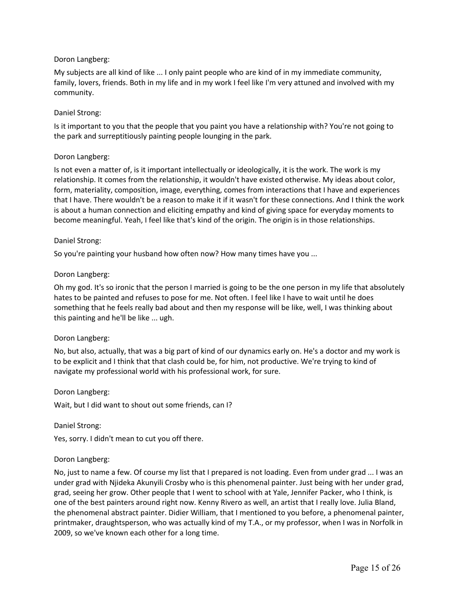My subjects are all kind of like ... I only paint people who are kind of in my immediate community, family, lovers, friends. Both in my life and in my work I feel like I'm very attuned and involved with my community.

## Daniel Strong:

Is it important to you that the people that you paint you have a relationship with? You're not going to the park and surreptitiously painting people lounging in the park.

## Doron Langberg:

Is not even a matter of, is it important intellectually or ideologically, it is the work. The work is my relationship. It comes from the relationship, it wouldn't have existed otherwise. My ideas about color, form, materiality, composition, image, everything, comes from interactions that I have and experiences that I have. There wouldn't be a reason to make it if it wasn't for these connections. And I think the work is about a human connection and eliciting empathy and kind of giving space for everyday moments to become meaningful. Yeah, I feel like that's kind of the origin. The origin is in those relationships.

## Daniel Strong:

So you're painting your husband how often now? How many times have you ...

## Doron Langberg:

Oh my god. It's so ironic that the person I married is going to be the one person in my life that absolutely hates to be painted and refuses to pose for me. Not often. I feel like I have to wait until he does something that he feels really bad about and then my response will be like, well, I was thinking about this painting and he'll be like ... ugh.

## Doron Langberg:

No, but also, actually, that was a big part of kind of our dynamics early on. He's a doctor and my work is to be explicit and I think that that clash could be, for him, not productive. We're trying to kind of navigate my professional world with his professional work, for sure.

## Doron Langberg:

Wait, but I did want to shout out some friends, can I?

Daniel Strong:

Yes, sorry. I didn't mean to cut you off there.

## Doron Langberg:

No, just to name a few. Of course my list that I prepared is not loading. Even from under grad ... I was an under grad with Njideka Akunyili Crosby who is this phenomenal painter. Just being with her under grad, grad, seeing her grow. Other people that I went to school with at Yale, Jennifer Packer, who I think, is one of the best painters around right now. Kenny Rivero as well, an artist that I really love. Julia Bland, the phenomenal abstract painter. Didier William, that I mentioned to you before, a phenomenal painter, printmaker, draughtsperson, who was actually kind of my T.A., or my professor, when I was in Norfolk in 2009, so we've known each other for a long time.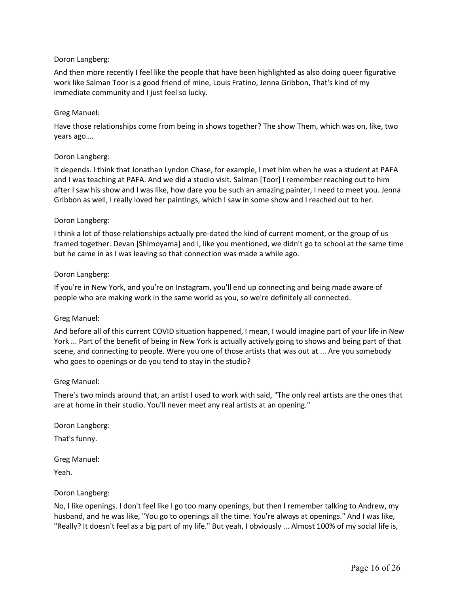And then more recently I feel like the people that have been highlighted as also doing queer figurative work like Salman Toor is a good friend of mine, Louis Fratino, Jenna Gribbon, That's kind of my immediate community and I just feel so lucky.

## Greg Manuel:

Have those relationships come from being in shows together? The show Them, which was on, like, two years ago….

## Doron Langberg:

It depends. I think that Jonathan Lyndon Chase, for example, I met him when he was a student at PAFA and I was teaching at PAFA. And we did a studio visit. Salman [Toor] I remember reaching out to him after I saw his show and I was like, how dare you be such an amazing painter, I need to meet you. Jenna Gribbon as well, I really loved her paintings, which I saw in some show and I reached out to her.

## Doron Langberg:

I think a lot of those relationships actually pre-dated the kind of current moment, or the group of us framed together. Devan [Shimoyama] and I, like you mentioned, we didn't go to school at the same time but he came in as I was leaving so that connection was made a while ago.

## Doron Langberg:

If you're in New York, and you're on Instagram, you'll end up connecting and being made aware of people who are making work in the same world as you, so we're definitely all connected.

## Greg Manuel:

And before all of this current COVID situation happened, I mean, I would imagine part of your life in New York ... Part of the benefit of being in New York is actually actively going to shows and being part of that scene, and connecting to people. Were you one of those artists that was out at ... Are you somebody who goes to openings or do you tend to stay in the studio?

## Greg Manuel:

There's two minds around that, an artist I used to work with said, "The only real artists are the ones that are at home in their studio. You'll never meet any real artists at an opening."

Doron Langberg:

That's funny.

Greg Manuel:

Yeah.

## Doron Langberg:

No, I like openings. I don't feel like I go too many openings, but then I remember talking to Andrew, my husband, and he was like, "You go to openings all the time. You're always at openings." And I was like, "Really? It doesn't feel as a big part of my life." But yeah, I obviously ... Almost 100% of my social life is,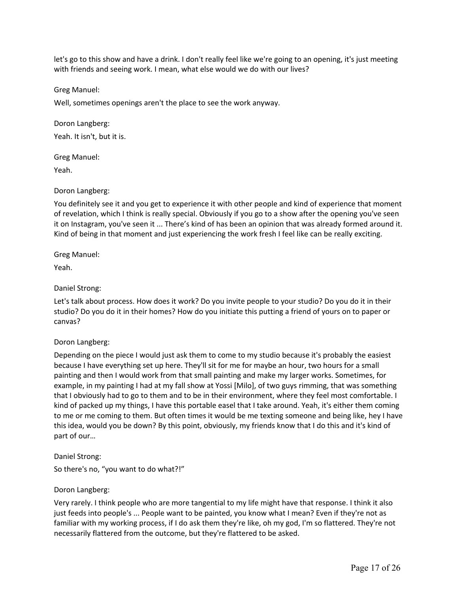let's go to this show and have a drink. I don't really feel like we're going to an opening, it's just meeting with friends and seeing work. I mean, what else would we do with our lives?

Greg Manuel:

Well, sometimes openings aren't the place to see the work anyway.

Doron Langberg:

Yeah. It isn't, but it is.

Greg Manuel:

Yeah.

# Doron Langberg:

You definitely see it and you get to experience it with other people and kind of experience that moment of revelation, which I think is really special. Obviously if you go to a show after the opening you've seen it on Instagram, you've seen it ... There's kind of has been an opinion that was already formed around it. Kind of being in that moment and just experiencing the work fresh I feel like can be really exciting.

Greg Manuel:

Yeah.

# Daniel Strong:

Let's talk about process. How does it work? Do you invite people to your studio? Do you do it in their studio? Do you do it in their homes? How do you initiate this putting a friend of yours on to paper or canvas?

# Doron Langberg:

Depending on the piece I would just ask them to come to my studio because it's probably the easiest because I have everything set up here. They'll sit for me for maybe an hour, two hours for a small painting and then I would work from that small painting and make my larger works. Sometimes, for example, in my painting I had at my fall show at Yossi [Milo], of two guys rimming, that was something that I obviously had to go to them and to be in their environment, where they feel most comfortable. I kind of packed up my things, I have this portable easel that I take around. Yeah, it's either them coming to me or me coming to them. But often times it would be me texting someone and being like, hey I have this idea, would you be down? By this point, obviously, my friends know that I do this and it's kind of part of our…

## Daniel Strong:

So there's no, "you want to do what?!"

## Doron Langberg:

Very rarely. I think people who are more tangential to my life might have that response. I think it also just feeds into people's ... People want to be painted, you know what I mean? Even if they're not as familiar with my working process, if I do ask them they're like, oh my god, I'm so flattered. They're not necessarily flattered from the outcome, but they're flattered to be asked.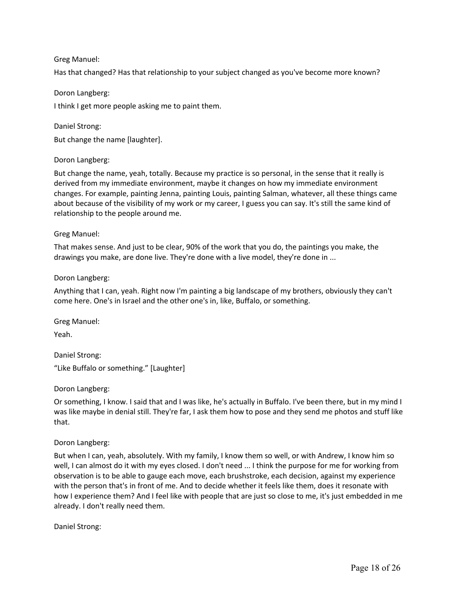# Greg Manuel:

Has that changed? Has that relationship to your subject changed as you've become more known?

Doron Langberg: I think I get more people asking me to paint them.

But change the name [laughter].

### Doron Langberg:

Daniel Strong:

But change the name, yeah, totally. Because my practice is so personal, in the sense that it really is derived from my immediate environment, maybe it changes on how my immediate environment changes. For example, painting Jenna, painting Louis, painting Salman, whatever, all these things came about because of the visibility of my work or my career, I guess you can say. It's still the same kind of relationship to the people around me.

### Greg Manuel:

That makes sense. And just to be clear, 90% of the work that you do, the paintings you make, the drawings you make, are done live. They're done with a live model, they're done in ...

### Doron Langberg:

Anything that I can, yeah. Right now I'm painting a big landscape of my brothers, obviously they can't come here. One's in Israel and the other one's in, like, Buffalo, or something.

Greg Manuel:

Yeah.

Daniel Strong: "Like Buffalo or something." [Laughter]

Doron Langberg:

Or something, I know. I said that and I was like, he's actually in Buffalo. I've been there, but in my mind I was like maybe in denial still. They're far, I ask them how to pose and they send me photos and stuff like that.

## Doron Langberg:

But when I can, yeah, absolutely. With my family, I know them so well, or with Andrew, I know him so well, I can almost do it with my eyes closed. I don't need ... I think the purpose for me for working from observation is to be able to gauge each move, each brushstroke, each decision, against my experience with the person that's in front of me. And to decide whether it feels like them, does it resonate with how I experience them? And I feel like with people that are just so close to me, it's just embedded in me already. I don't really need them.

Daniel Strong: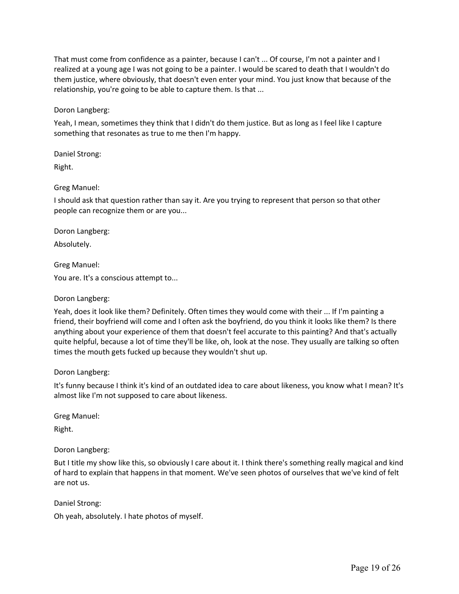That must come from confidence as a painter, because I can't ... Of course, I'm not a painter and I realized at a young age I was not going to be a painter. I would be scared to death that I wouldn't do them justice, where obviously, that doesn't even enter your mind. You just know that because of the relationship, you're going to be able to capture them. Is that ...

Doron Langberg:

Yeah, I mean, sometimes they think that I didn't do them justice. But as long as I feel like I capture something that resonates as true to me then I'm happy.

Daniel Strong:

Right.

# Greg Manuel:

I should ask that question rather than say it. Are you trying to represent that person so that other people can recognize them or are you...

Doron Langberg:

Absolutely.

Greg Manuel:

You are. It's a conscious attempt to...

## Doron Langberg:

Yeah, does it look like them? Definitely. Often times they would come with their ... If I'm painting a friend, their boyfriend will come and I often ask the boyfriend, do you think it looks like them? Is there anything about your experience of them that doesn't feel accurate to this painting? And that's actually quite helpful, because a lot of time they'll be like, oh, look at the nose. They usually are talking so often times the mouth gets fucked up because they wouldn't shut up.

## Doron Langberg:

It's funny because I think it's kind of an outdated idea to care about likeness, you know what I mean? It's almost like I'm not supposed to care about likeness.

Greg Manuel:

Right.

Doron Langberg:

But I title my show like this, so obviously I care about it. I think there's something really magical and kind of hard to explain that happens in that moment. We've seen photos of ourselves that we've kind of felt are not us.

Daniel Strong:

Oh yeah, absolutely. I hate photos of myself.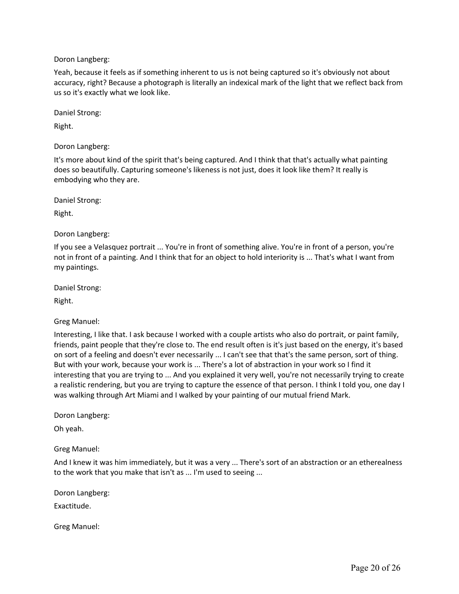Yeah, because it feels as if something inherent to us is not being captured so it's obviously not about accuracy, right? Because a photograph is literally an indexical mark of the light that we reflect back from us so it's exactly what we look like.

Daniel Strong:

Right.

Doron Langberg:

It's more about kind of the spirit that's being captured. And I think that that's actually what painting does so beautifully. Capturing someone's likeness is not just, does it look like them? It really is embodying who they are.

Daniel Strong:

Right.

Doron Langberg:

If you see a Velasquez portrait ... You're in front of something alive. You're in front of a person, you're not in front of a painting. And I think that for an object to hold interiority is ... That's what I want from my paintings.

Daniel Strong:

Right.

Greg Manuel:

Interesting, I like that. I ask because I worked with a couple artists who also do portrait, or paint family, friends, paint people that they're close to. The end result often is it's just based on the energy, it's based on sort of a feeling and doesn't ever necessarily ... I can't see that that's the same person, sort of thing. But with your work, because your work is ... There's a lot of abstraction in your work so I find it interesting that you are trying to ... And you explained it very well, you're not necessarily trying to create a realistic rendering, but you are trying to capture the essence of that person. I think I told you, one day I was walking through Art Miami and I walked by your painting of our mutual friend Mark.

Doron Langberg:

Oh yeah.

Greg Manuel:

And I knew it was him immediately, but it was a very ... There's sort of an abstraction or an etherealness to the work that you make that isn't as ... I'm used to seeing ...

Doron Langberg:

Exactitude.

Greg Manuel: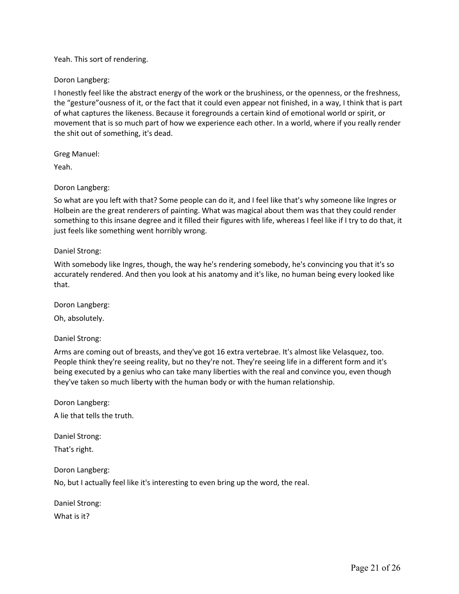### Yeah. This sort of rendering.

### Doron Langberg:

I honestly feel like the abstract energy of the work or the brushiness, or the openness, or the freshness, the "gesture"ousness of it, or the fact that it could even appear not finished, in a way, I think that is part of what captures the likeness. Because it foregrounds a certain kind of emotional world or spirit, or movement that is so much part of how we experience each other. In a world, where if you really render the shit out of something, it's dead.

Greg Manuel:

Yeah.

### Doron Langberg:

So what are you left with that? Some people can do it, and I feel like that's why someone like Ingres or Holbein are the great renderers of painting. What was magical about them was that they could render something to this insane degree and it filled their figures with life, whereas I feel like if I try to do that, it just feels like something went horribly wrong.

### Daniel Strong:

With somebody like Ingres, though, the way he's rendering somebody, he's convincing you that it's so accurately rendered. And then you look at his anatomy and it's like, no human being every looked like that.

Doron Langberg:

Oh, absolutely.

Daniel Strong:

Arms are coming out of breasts, and they've got 16 extra vertebrae. It's almost like Velasquez, too. People think they're seeing reality, but no they're not. They're seeing life in a different form and it's being executed by a genius who can take many liberties with the real and convince you, even though they've taken so much liberty with the human body or with the human relationship.

Doron Langberg:

A lie that tells the truth.

Daniel Strong:

That's right.

Doron Langberg: No, but I actually feel like it's interesting to even bring up the word, the real.

Daniel Strong: What is it?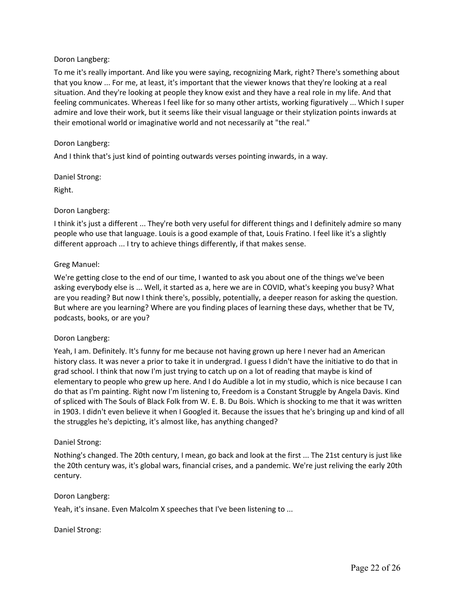To me it's really important. And like you were saying, recognizing Mark, right? There's something about that you know ... For me, at least, it's important that the viewer knows that they're looking at a real situation. And they're looking at people they know exist and they have a real role in my life. And that feeling communicates. Whereas I feel like for so many other artists, working figuratively ... Which I super admire and love their work, but it seems like their visual language or their stylization points inwards at their emotional world or imaginative world and not necessarily at "the real."

## Doron Langberg:

And I think that's just kind of pointing outwards verses pointing inwards, in a way.

Daniel Strong:

Right.

## Doron Langberg:

I think it's just a different ... They're both very useful for different things and I definitely admire so many people who use that language. Louis is a good example of that, Louis Fratino. I feel like it's a slightly different approach ... I try to achieve things differently, if that makes sense.

# Greg Manuel:

We're getting close to the end of our time, I wanted to ask you about one of the things we've been asking everybody else is ... Well, it started as a, here we are in COVID, what's keeping you busy? What are you reading? But now I think there's, possibly, potentially, a deeper reason for asking the question. But where are you learning? Where are you finding places of learning these days, whether that be TV, podcasts, books, or are you?

## Doron Langberg:

Yeah, I am. Definitely. It's funny for me because not having grown up here I never had an American history class. It was never a prior to take it in undergrad. I guess I didn't have the initiative to do that in grad school. I think that now I'm just trying to catch up on a lot of reading that maybe is kind of elementary to people who grew up here. And I do Audible a lot in my studio, which is nice because I can do that as I'm painting. Right now I'm listening to, Freedom is a Constant Struggle by Angela Davis. Kind of spliced with The Souls of Black Folk from W. E. B. Du Bois. Which is shocking to me that it was written in 1903. I didn't even believe it when I Googled it. Because the issues that he's bringing up and kind of all the struggles he's depicting, it's almost like, has anything changed?

## Daniel Strong:

Nothing's changed. The 20th century, I mean, go back and look at the first ... The 21st century is just like the 20th century was, it's global wars, financial crises, and a pandemic. We're just reliving the early 20th century.

## Doron Langberg:

Yeah, it's insane. Even Malcolm X speeches that I've been listening to ...

## Daniel Strong: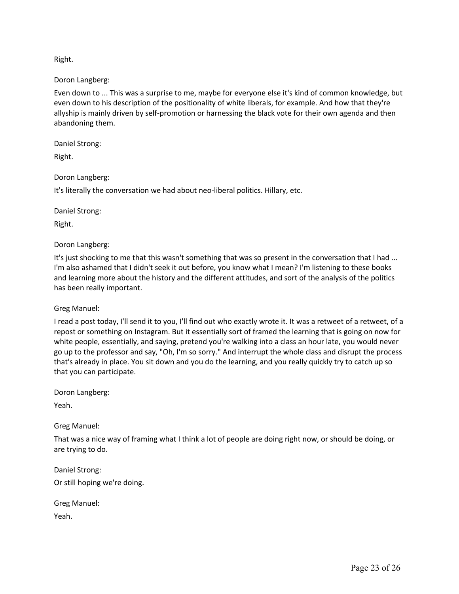Right.

Doron Langberg:

Even down to ... This was a surprise to me, maybe for everyone else it's kind of common knowledge, but even down to his description of the positionality of white liberals, for example. And how that they're allyship is mainly driven by self-promotion or harnessing the black vote for their own agenda and then abandoning them.

Daniel Strong:

Right.

Doron Langberg:

It's literally the conversation we had about neo-liberal politics. Hillary, etc.

Daniel Strong:

Right.

Doron Langberg:

It's just shocking to me that this wasn't something that was so present in the conversation that I had ... I'm also ashamed that I didn't seek it out before, you know what I mean? I'm listening to these books and learning more about the history and the different attitudes, and sort of the analysis of the politics has been really important.

Greg Manuel:

I read a post today, I'll send it to you, I'll find out who exactly wrote it. It was a retweet of a retweet, of a repost or something on Instagram. But it essentially sort of framed the learning that is going on now for white people, essentially, and saying, pretend you're walking into a class an hour late, you would never go up to the professor and say, "Oh, I'm so sorry." And interrupt the whole class and disrupt the process that's already in place. You sit down and you do the learning, and you really quickly try to catch up so that you can participate.

Doron Langberg:

Yeah.

Greg Manuel:

That was a nice way of framing what I think a lot of people are doing right now, or should be doing, or are trying to do.

Daniel Strong: Or still hoping we're doing.

Greg Manuel: Yeah.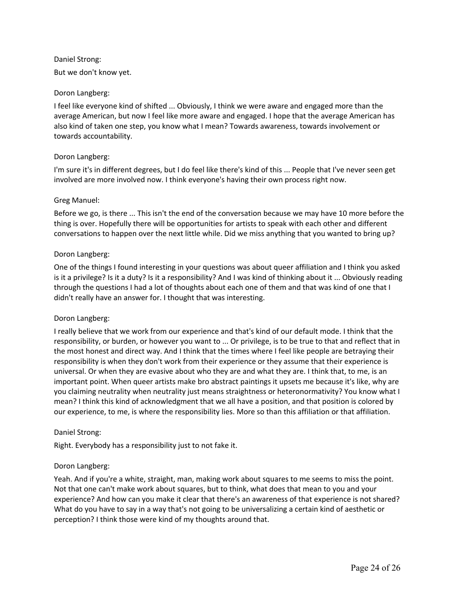# Daniel Strong:

But we don't know yet.

## Doron Langberg:

I feel like everyone kind of shifted ... Obviously, I think we were aware and engaged more than the average American, but now I feel like more aware and engaged. I hope that the average American has also kind of taken one step, you know what I mean? Towards awareness, towards involvement or towards accountability.

# Doron Langberg:

I'm sure it's in different degrees, but I do feel like there's kind of this ... People that I've never seen get involved are more involved now. I think everyone's having their own process right now.

# Greg Manuel:

Before we go, is there ... This isn't the end of the conversation because we may have 10 more before the thing is over. Hopefully there will be opportunities for artists to speak with each other and different conversations to happen over the next little while. Did we miss anything that you wanted to bring up?

# Doron Langberg:

One of the things I found interesting in your questions was about queer affiliation and I think you asked is it a privilege? Is it a duty? Is it a responsibility? And I was kind of thinking about it ... Obviously reading through the questions I had a lot of thoughts about each one of them and that was kind of one that I didn't really have an answer for. I thought that was interesting.

# Doron Langberg:

I really believe that we work from our experience and that's kind of our default mode. I think that the responsibility, or burden, or however you want to ... Or privilege, is to be true to that and reflect that in the most honest and direct way. And I think that the times where I feel like people are betraying their responsibility is when they don't work from their experience or they assume that their experience is universal. Or when they are evasive about who they are and what they are. I think that, to me, is an important point. When queer artists make bro abstract paintings it upsets me because it's like, why are you claiming neutrality when neutrality just means straightness or heteronormativity? You know what I mean? I think this kind of acknowledgment that we all have a position, and that position is colored by our experience, to me, is where the responsibility lies. More so than this affiliation or that affiliation.

## Daniel Strong:

Right. Everybody has a responsibility just to not fake it.

## Doron Langberg:

Yeah. And if you're a white, straight, man, making work about squares to me seems to miss the point. Not that one can't make work about squares, but to think, what does that mean to you and your experience? And how can you make it clear that there's an awareness of that experience is not shared? What do you have to say in a way that's not going to be universalizing a certain kind of aesthetic or perception? I think those were kind of my thoughts around that.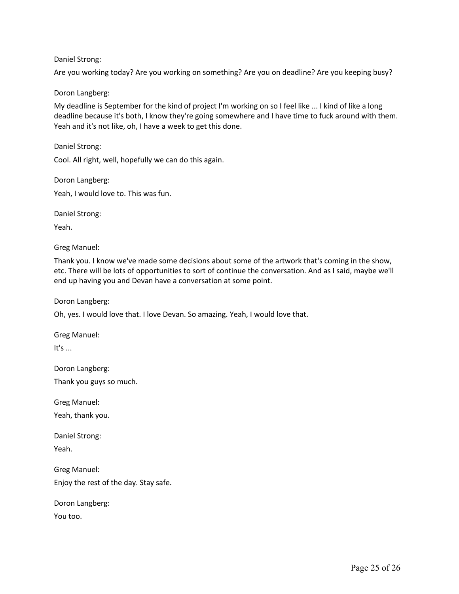## Daniel Strong:

Are you working today? Are you working on something? Are you on deadline? Are you keeping busy?

### Doron Langberg:

My deadline is September for the kind of project I'm working on so I feel like ... I kind of like a long deadline because it's both, I know they're going somewhere and I have time to fuck around with them. Yeah and it's not like, oh, I have a week to get this done.

Daniel Strong:

Cool. All right, well, hopefully we can do this again.

Doron Langberg: Yeah, I would love to. This was fun.

Daniel Strong:

Yeah.

Greg Manuel:

Thank you. I know we've made some decisions about some of the artwork that's coming in the show, etc. There will be lots of opportunities to sort of continue the conversation. And as I said, maybe we'll end up having you and Devan have a conversation at some point.

Doron Langberg:

Oh, yes. I would love that. I love Devan. So amazing. Yeah, I would love that.

Greg Manuel:

It's ...

Doron Langberg: Thank you guys so much.

Greg Manuel:

Yeah, thank you.

Daniel Strong: Yeah.

Greg Manuel: Enjoy the rest of the day. Stay safe.

Doron Langberg:

You too.